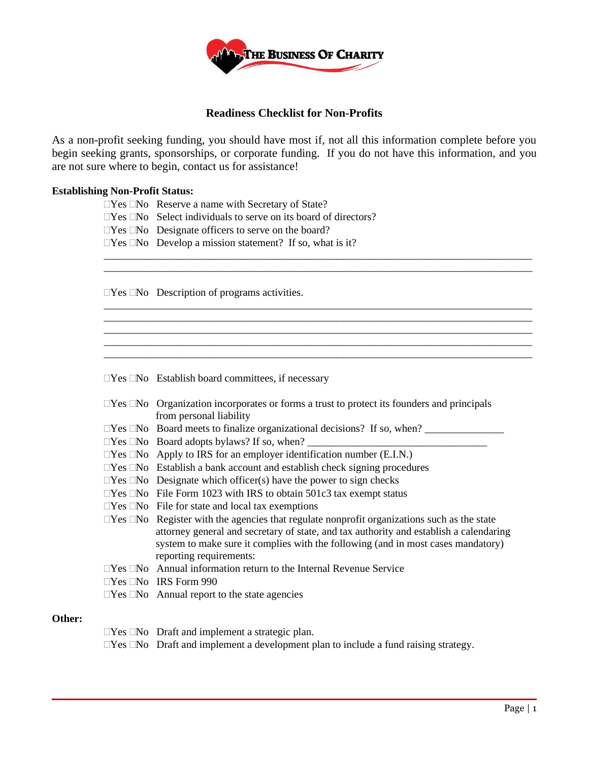

# **Readiness Checklist for Non-Profits**

As a non-profit seeking funding, you should have most if, not all this information complete before you begin seeking grants, sponsorships, or corporate funding. If you do not have this information, and you are not sure where to begin, contact us for assistance!

> \_\_\_\_\_\_\_\_\_\_\_\_\_\_\_\_\_\_\_\_\_\_\_\_\_\_\_\_\_\_\_\_\_\_\_\_\_\_\_\_\_\_\_\_\_\_\_\_\_\_\_\_\_\_\_\_\_\_\_\_\_\_\_\_\_\_\_\_\_\_\_\_\_\_\_\_\_\_\_\_\_ \_\_\_\_\_\_\_\_\_\_\_\_\_\_\_\_\_\_\_\_\_\_\_\_\_\_\_\_\_\_\_\_\_\_\_\_\_\_\_\_\_\_\_\_\_\_\_\_\_\_\_\_\_\_\_\_\_\_\_\_\_\_\_\_\_\_\_\_\_\_\_\_\_\_\_\_\_\_\_\_\_

> \_\_\_\_\_\_\_\_\_\_\_\_\_\_\_\_\_\_\_\_\_\_\_\_\_\_\_\_\_\_\_\_\_\_\_\_\_\_\_\_\_\_\_\_\_\_\_\_\_\_\_\_\_\_\_\_\_\_\_\_\_\_\_\_\_\_\_\_\_\_\_\_\_\_\_\_\_\_\_\_\_ \_\_\_\_\_\_\_\_\_\_\_\_\_\_\_\_\_\_\_\_\_\_\_\_\_\_\_\_\_\_\_\_\_\_\_\_\_\_\_\_\_\_\_\_\_\_\_\_\_\_\_\_\_\_\_\_\_\_\_\_\_\_\_\_\_\_\_\_\_\_\_\_\_\_\_\_\_\_\_\_\_

> \_\_\_\_\_\_\_\_\_\_\_\_\_\_\_\_\_\_\_\_\_\_\_\_\_\_\_\_\_\_\_\_\_\_\_\_\_\_\_\_\_\_\_\_\_\_\_\_\_\_\_\_\_\_\_\_\_\_\_\_\_\_\_\_\_\_\_\_\_\_\_\_\_\_\_\_\_\_\_\_\_ \_\_\_\_\_\_\_\_\_\_\_\_\_\_\_\_\_\_\_\_\_\_\_\_\_\_\_\_\_\_\_\_\_\_\_\_\_\_\_\_\_\_\_\_\_\_\_\_\_\_\_\_\_\_\_\_\_\_\_\_\_\_\_\_\_\_\_\_\_\_\_\_\_\_\_\_\_\_\_\_\_

## **Establishing Non-Profit Status:**

|  | $\Box$ Yes $\Box$ No Reserve a name with Secretary of State? |  |  |
|--|--------------------------------------------------------------|--|--|
|--|--------------------------------------------------------------|--|--|

 $\Box$  Yes  $\Box$  No Select individuals to serve on its board of directors?

 $\Box$  Yes  $\Box$  No Designate officers to serve on the board?

 $\Box$ Yes  $\Box$ No Develop a mission statement? If so, what is it?

 $\Box$ Yes  $\Box$ No Description of programs activities.

 $\Box$ Yes  $\Box$ No Establish board committees, if necessary

| $\square$ Yes $\square$ No Organization incorporates or forms a trust to protect its founders and principals |
|--------------------------------------------------------------------------------------------------------------|
| from personal liability                                                                                      |
| $\Box$ Yes $\Box$ No Board meets to finalize organizational decisions? If so, when?                          |
| $\Box$ Yes $\Box$ No Board adopts by laws? If so, when? $\Box$                                               |
| $\Box$ Yes $\Box$ No Apply to IRS for an employer identification number (E.I.N.)                             |
| $\Box$ Yes $\Box$ No Establish a bank account and establish check signing procedures                         |
| $\Box$ Yes $\Box$ No Designate which officer(s) have the power to sign checks                                |
| $\Box$ Yes $\Box$ No File Form 1023 with IRS to obtain 501c3 tax exempt status                               |
| $\Box$ Yes $\Box$ No File for state and local tax exemptions                                                 |
| $\Box$ Yes $\Box$ No Register with the agencies that regulate nonprofit organizations such as the state      |
| attorney general and secretary of state, and tax authority and establish a calendaring                       |
| system to make sure it complies with the following (and in most cases mandatory)                             |
| reporting requirements:                                                                                      |
| $\Box$ Yes $\Box$ No Annual information return to the Internal Revenue Service                               |

 $\Box$ Yes  $\Box$ No IRS Form 990

 $\Box$ Yes  $\Box$ No Annual report to the state agencies

## **Other:**

 $\Box$ Yes  $\Box$ No Draft and implement a strategic plan.

 $\Box$ Yes  $\Box$ No Draft and implement a development plan to include a fund raising strategy.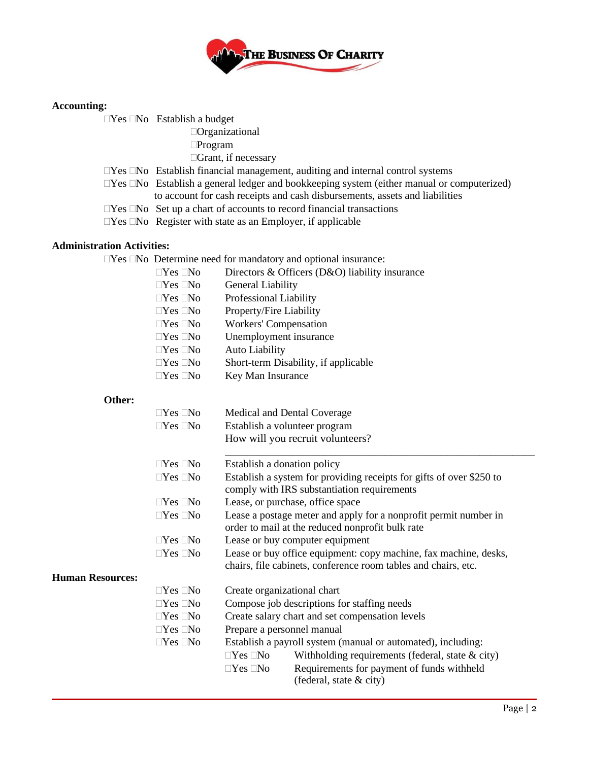

# **Accounting:**

 $\Box$ Yes  $\Box$ No Establish a budget

Organizational

Program

Grant, if necessary

- $\Box Yes \Box No$  Establish financial management, auditing and internal control systems
- $\Box$ Yes  $\Box$ No Establish a general ledger and bookkeeping system (either manual or computerized) to account for cash receipts and cash disbursements, assets and liabilities
- $\Box$  Yes  $\Box$  No Set up a chart of accounts to record financial transactions
- $\Box$  Yes  $\Box$  No Register with state as an Employer, if applicable

# **Administration Activities:**

|                         | $\Box$ Yes $\Box$ No | Directors & Officers (D&O) liability insurance                                                                       |  |
|-------------------------|----------------------|----------------------------------------------------------------------------------------------------------------------|--|
|                         | $\Box$ Yes $\Box$ No | General Liability                                                                                                    |  |
|                         | $\Box$ Yes $\Box$ No | Professional Liability                                                                                               |  |
|                         | $\Box$ Yes $\Box$ No | Property/Fire Liability                                                                                              |  |
|                         | $\Box$ Yes $\Box$ No | <b>Workers' Compensation</b>                                                                                         |  |
|                         | $\Box$ Yes $\Box$ No | Unemployment insurance                                                                                               |  |
|                         | $\Box$ Yes $\Box$ No | <b>Auto Liability</b>                                                                                                |  |
|                         | $\Box$ Yes $\Box$ No | Short-term Disability, if applicable                                                                                 |  |
|                         | $\Box$ Yes $\Box$ No | Key Man Insurance                                                                                                    |  |
| Other:                  |                      |                                                                                                                      |  |
|                         | $\Box$ Yes $\Box$ No | Medical and Dental Coverage                                                                                          |  |
|                         | $\Box$ Yes $\Box$ No | Establish a volunteer program                                                                                        |  |
|                         |                      | How will you recruit volunteers?                                                                                     |  |
|                         | $\Box$ Yes $\Box$ No | Establish a donation policy                                                                                          |  |
|                         | $\Box$ Yes $\Box$ No | Establish a system for providing receipts for gifts of over \$250 to                                                 |  |
|                         |                      | comply with IRS substantiation requirements                                                                          |  |
|                         | $\Box$ Yes $\Box$ No | Lease, or purchase, office space                                                                                     |  |
|                         | $\Box Yes \Box No$   | Lease a postage meter and apply for a nonprofit permit number in<br>order to mail at the reduced nonprofit bulk rate |  |
|                         | $\Box$ Yes $\Box$ No | Lease or buy computer equipment                                                                                      |  |
|                         | $\Box$ Yes $\Box$ No | Lease or buy office equipment: copy machine, fax machine, desks,                                                     |  |
| <b>Human Resources:</b> |                      | chairs, file cabinets, conference room tables and chairs, etc.                                                       |  |
|                         | $\Box$ Yes $\Box$ No | Create organizational chart                                                                                          |  |
|                         | $\Box$ Yes $\Box$ No | Compose job descriptions for staffing needs                                                                          |  |
|                         | $\Box$ Yes $\Box$ No | Create salary chart and set compensation levels                                                                      |  |
|                         | $\Box$ Yes $\Box$ No | Prepare a personnel manual                                                                                           |  |
|                         | $\Box$ Yes $\Box$ No | Establish a payroll system (manual or automated), including:                                                         |  |
|                         |                      | $\Box$ Yes $\Box$ No<br>Withholding requirements (federal, state $\&$ city)                                          |  |
|                         |                      | Requirements for payment of funds withheld<br>$\Box Yes \Box No$                                                     |  |
|                         |                      | (federal, state & city)                                                                                              |  |
|                         |                      |                                                                                                                      |  |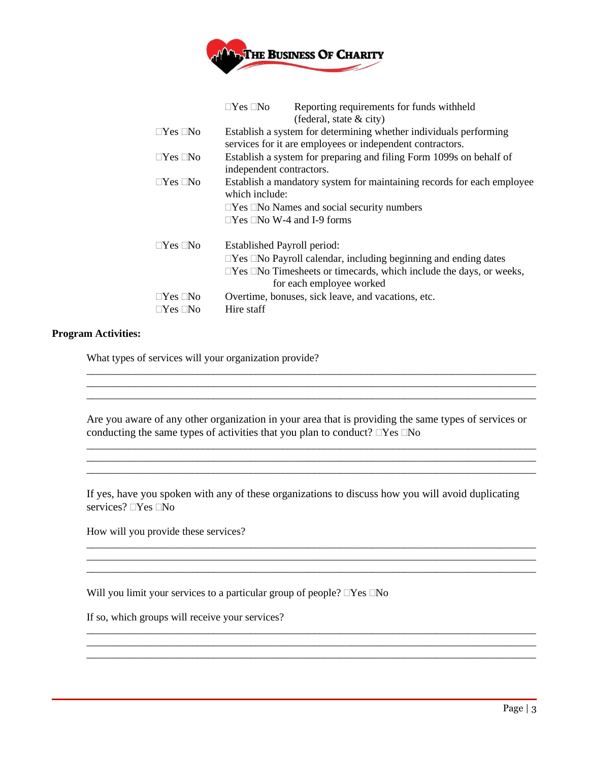

|                      | $\Box Yes \ \Box No$<br>Reporting requirements for funds withheld<br>(federal, state $\&$ city)                                                                                                                           |  |  |
|----------------------|---------------------------------------------------------------------------------------------------------------------------------------------------------------------------------------------------------------------------|--|--|
| $\Box$ Yes $\Box$ No | Establish a system for determining whether individuals performing<br>services for it are employees or independent contractors.                                                                                            |  |  |
| $\Box$ Yes $\Box$ No | Establish a system for preparing and filing Form 1099s on behalf of<br>independent contractors.                                                                                                                           |  |  |
| $\Box$ Yes $\Box$ No | Establish a mandatory system for maintaining records for each employee<br>which include:<br>$\Box$ Yes $\Box$ No Names and social security numbers<br>$\Box$ Yes $\Box$ No W-4 and I-9 forms                              |  |  |
| $\Box$ Yes $\Box$ No | Established Payroll period:<br>$\Box$ Yes $\Box$ No Payroll calendar, including beginning and ending dates<br>$\Box$ Yes $\Box$ No Timesheets or timecards, which include the days, or weeks,<br>for each employee worked |  |  |
| $\Box$ Yes $\Box$ No | Overtime, bonuses, sick leave, and vacations, etc.                                                                                                                                                                        |  |  |
| $\Box$ Yes $\Box$ No | Hire staff                                                                                                                                                                                                                |  |  |

## **Program Activities:**

What types of services will your organization provide?

Are you aware of any other organization in your area that is providing the same types of services or conducting the same types of activities that you plan to conduct?  $\Box$  Yes  $\Box$  No

\_\_\_\_\_\_\_\_\_\_\_\_\_\_\_\_\_\_\_\_\_\_\_\_\_\_\_\_\_\_\_\_\_\_\_\_\_\_\_\_\_\_\_\_\_\_\_\_\_\_\_\_\_\_\_\_\_\_\_\_\_\_\_\_\_\_\_\_\_\_\_\_\_\_\_\_\_\_\_\_\_\_\_\_\_ \_\_\_\_\_\_\_\_\_\_\_\_\_\_\_\_\_\_\_\_\_\_\_\_\_\_\_\_\_\_\_\_\_\_\_\_\_\_\_\_\_\_\_\_\_\_\_\_\_\_\_\_\_\_\_\_\_\_\_\_\_\_\_\_\_\_\_\_\_\_\_\_\_\_\_\_\_\_\_\_\_\_\_\_\_

\_\_\_\_\_\_\_\_\_\_\_\_\_\_\_\_\_\_\_\_\_\_\_\_\_\_\_\_\_\_\_\_\_\_\_\_\_\_\_\_\_\_\_\_\_\_\_\_\_\_\_\_\_\_\_\_\_\_\_\_\_\_\_\_\_\_\_\_\_\_\_\_\_\_\_\_\_\_\_\_\_\_\_\_\_

 $\_$  ,  $\_$  ,  $\_$  ,  $\_$  ,  $\_$  ,  $\_$  ,  $\_$  ,  $\_$  ,  $\_$  ,  $\_$  ,  $\_$  ,  $\_$ 

If yes, have you spoken with any of these organizations to discuss how you will avoid duplicating services?  $\Box$  Yes  $\Box$  No

\_\_\_\_\_\_\_\_\_\_\_\_\_\_\_\_\_\_\_\_\_\_\_\_\_\_\_\_\_\_\_\_\_\_\_\_\_\_\_\_\_\_\_\_\_\_\_\_\_\_\_\_\_\_\_\_\_\_\_\_\_\_\_\_\_\_\_\_\_\_\_\_\_\_\_\_\_\_\_\_\_\_\_\_\_

\_\_\_\_\_\_\_\_\_\_\_\_\_\_\_\_\_\_\_\_\_\_\_\_\_\_\_\_\_\_\_\_\_\_\_\_\_\_\_\_\_\_\_\_\_\_\_\_\_\_\_\_\_\_\_\_\_\_\_\_\_\_\_\_\_\_\_\_\_\_\_\_\_\_\_\_\_\_\_\_\_\_\_\_\_

\_\_\_\_\_\_\_\_\_\_\_\_\_\_\_\_\_\_\_\_\_\_\_\_\_\_\_\_\_\_\_\_\_\_\_\_\_\_\_\_\_\_\_\_\_\_\_\_\_\_\_\_\_\_\_\_\_\_\_\_\_\_\_\_\_\_\_\_\_\_\_\_\_\_\_\_\_\_\_\_\_\_\_\_\_ \_\_\_\_\_\_\_\_\_\_\_\_\_\_\_\_\_\_\_\_\_\_\_\_\_\_\_\_\_\_\_\_\_\_\_\_\_\_\_\_\_\_\_\_\_\_\_\_\_\_\_\_\_\_\_\_\_\_\_\_\_\_\_\_\_\_\_\_\_\_\_\_\_\_\_\_\_\_\_\_\_\_\_\_\_ \_\_\_\_\_\_\_\_\_\_\_\_\_\_\_\_\_\_\_\_\_\_\_\_\_\_\_\_\_\_\_\_\_\_\_\_\_\_\_\_\_\_\_\_\_\_\_\_\_\_\_\_\_\_\_\_\_\_\_\_\_\_\_\_\_\_\_\_\_\_\_\_\_\_\_\_\_\_\_\_\_\_\_\_\_

How will you provide these services?

Will you limit your services to a particular group of people?  $\Box$  Yes  $\Box$  No

If so, which groups will receive your services?